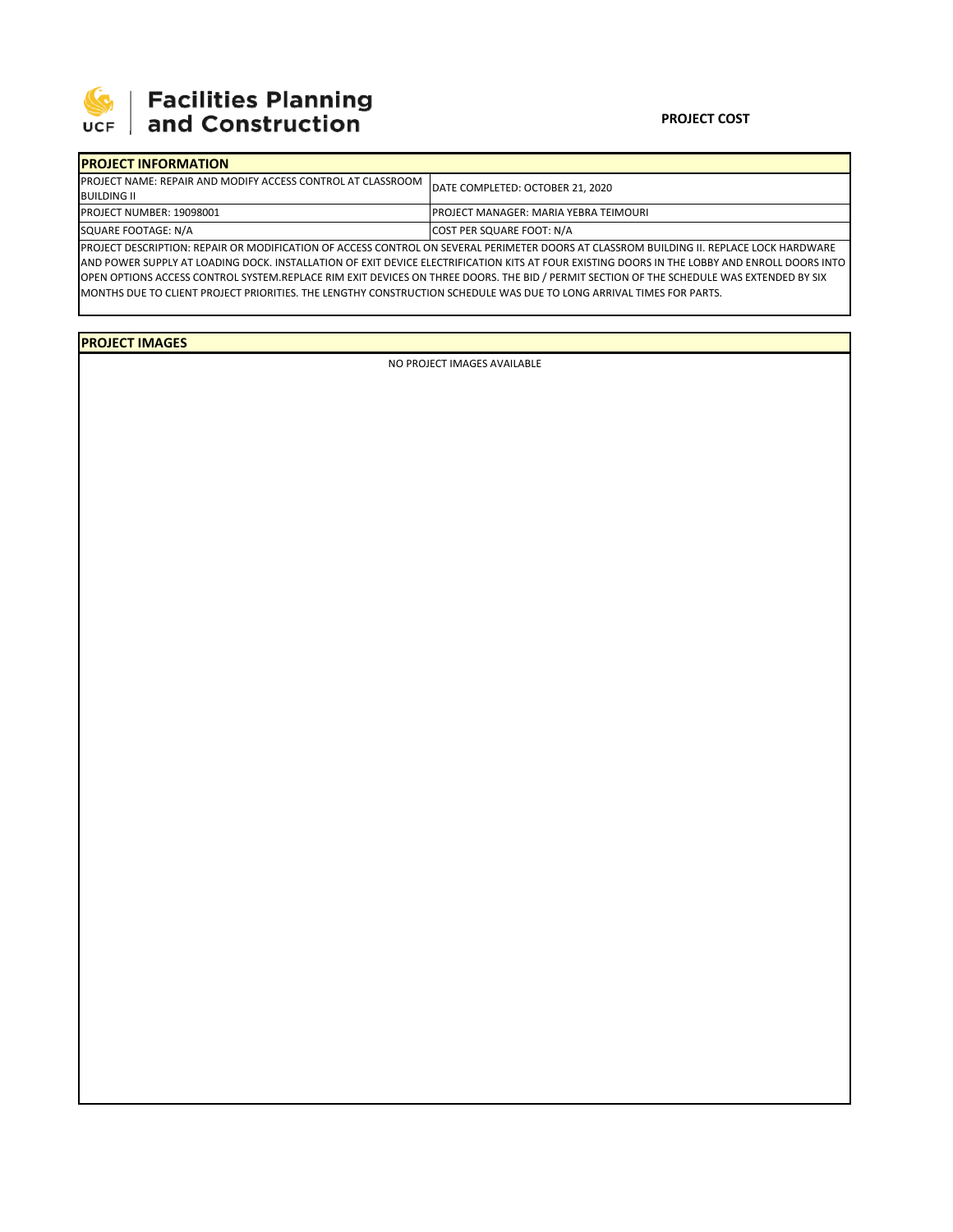

## 

|  | <b>IPROJECT INFORMATION</b>                                                               |                                                                                                                                         |  |  |  |
|--|-------------------------------------------------------------------------------------------|-----------------------------------------------------------------------------------------------------------------------------------------|--|--|--|
|  | <b>IPROJECT NAME: REPAIR AND MODIFY ACCESS CONTROL AT CLASSROOM</b><br><b>BUILDING II</b> | DATE COMPLETED: OCTOBER 21, 2020                                                                                                        |  |  |  |
|  | <b>PROJECT NUMBER: 19098001</b>                                                           | IPROJECT MANAGER: MARIA YEBRA TEIMOURI                                                                                                  |  |  |  |
|  | SQUARE FOOTAGE: N/A                                                                       | <b>COST PER SQUARE FOOT: N/A</b>                                                                                                        |  |  |  |
|  |                                                                                           | PROJECT DESCRIPTION: REPAIR OR MODIFICATION OF ACCESS CONTROL ON SEVERAL PERIMETER DOORS AT CLASSROM BUILDING II. REPLACE LOCK HARDWARE |  |  |  |

AND POWER SUPPLY AT LOADING DOCK. INSTALLATION OF EXIT DEVICE ELECTRIFICATION KITS AT FOUR EXISTING DOORS IN THE LOBBY AND ENROLL DOORS INTO OPEN OPTIONS ACCESS CONTROL SYSTEM.REPLACE RIM EXIT DEVICES ON THREE DOORS. THE BID / PERMIT SECTION OF THE SCHEDULE WAS EXTENDED BY SIX MONTHS DUE TO CLIENT PROJECT PRIORITIES. THE LENGTHY CONSTRUCTION SCHEDULE WAS DUE TO LONG ARRIVAL TIMES FOR PARTS.

**PROJECT IMAGES**

NO PROJECT IMAGES AVAILABLE